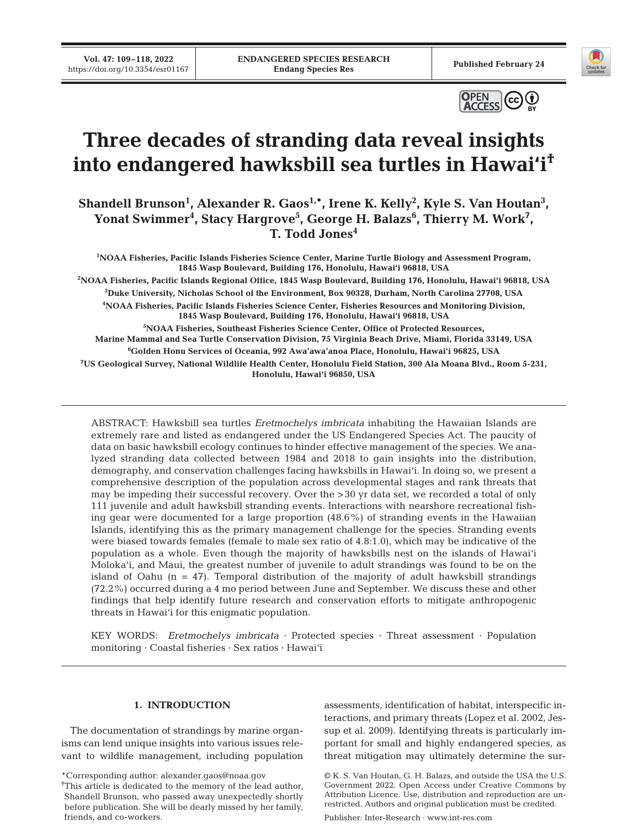**Vol. 47: 109–118, 2022** 





# **Three decades of stranding data reveal insights into endangered hawksbill sea turtles in Hawai'i†**

Shandell Brunson<sup>1</sup>, Alexander R. Gaos<sup>1,\*</sup>, Irene K. Kelly<sup>2</sup>, Kyle S. Van Houtan<sup>3</sup>, Yonat Swimmer<sup>4</sup>, Stacy Hargrove<sup>5</sup>, George H. Balazs<sup>6</sup>, Thierry M. Work<sup>7</sup>, **T. Todd Jones4**

 **NOAA Fisheries, Pacific Islands Fisheries Science Center, Marine Turtle Biology and Assessment Program, 1845 Wasp Boulevard, Building 176, Honolulu, Hawai'i 96818, USA NOAA Fisheries, Pacific Islands Regional Office, 1845 Wasp Boulevard, Building 176, Honolulu, Hawai'i 96818, USA Duke University, Nicholas School of the Environment, Box 90328, Durham, North Carolina 27708, USA NOAA Fisheries, Pacific Islands Fisheries Science Center, Fisheries Resources and Monitoring Division, 1845 Wasp Boulevard, Building 176, Honolulu, Hawai'i 96818, USA NOAA Fisheries, Southeast Fisheries Science Center, Office of Protected Resources,** 

**Marine Mammal and Sea Turtle Conservation Division, 75 Virginia Beach Drive, Miami, Florida 33149, USA 6 Golden Honu Services of Oceania, 992 Awa'awa'anoa Place, Honolulu, Hawai'i 96825, USA 7 US Geological Survey, National Wildlife Health Center, Honolulu Field Station, 300 Ala Moana Blvd., Room 5-231, Honolulu, Hawai'i 96850, USA**

ABSTRACT: Hawksbill sea turtles *Eretmochelys imbricata* inhabiting the Hawaiian Islands are extremely rare and listed as endangered under the US Endangered Species Act. The paucity of data on basic hawksbill ecology continues to hinder effective management of the species. We analyzed stranding data collected between 1984 and 2018 to gain insights into the distribution, demography, and conservation challenges facing hawksbills in Hawai'i. In doing so, we present a comprehensive description of the population across developmental stages and rank threats that may be impeding their successful recovery. Over the >30 yr data set, we recorded a total of only 111 juvenile and adult hawksbill stranding events. Interactions with nearshore recreational fishing gear were documented for a large proportion (48.6%) of stranding events in the Hawaiian Islands, identifying this as the primary management challenge for the species. Stranding events were biased towards females (female to male sex ratio of 4.8:1.0), which may be indicative of the population as a whole. Even though the majority of hawksbills nest on the islands of Hawai'i Moloka'i, and Maui, the greatest number of juvenile to adult strandings was found to be on the island of Oahu  $(n = 47)$ . Temporal distribution of the majority of adult hawksbill strandings (72.2%) occurred during a 4 mo period between June and September. We discuss these and other findings that help identify future research and conservation efforts to mitigate anthropogenic threats in Hawai'i for this enigmatic population.

KEY WORDS: *Eretmochelys imbricata* · Protected species · Threat assessment · Population monitoring · Coastal fisheries · Sex ratios · Hawai'i

# **1. INTRODUCTION**

The documentation of strandings by marine organisms can lend unique insights into various issues relevant to wildlife management, including population

\*Corresponding author: alexander.gaos@noaa.gov

assessments, identification of habitat, interspecific interactions, and primary threats (Lopez et al. 2002, Jessup et al. 2009). Identifying threats is particularly important for small and highly endangered species, as threat mitigation may ultimately determine the sur-

Publisher: Inter-Research · www.int-res.com

<sup>&</sup>lt;sup>†</sup>This article is dedicated to the memory of the lead author, Shandell Brunson, who passed away unexpectedly shortly before publication. She will be dearly missed by her family, friends, and co-workers.

<sup>©</sup> K. S. Van Houtan, G. H. Balazs, and outside the USA the U.S. Government 2022. Open Access under Creative Commons by Attribution Licence. Use, distribution and reproduction are unrestricted. Authors and original publication must be credited.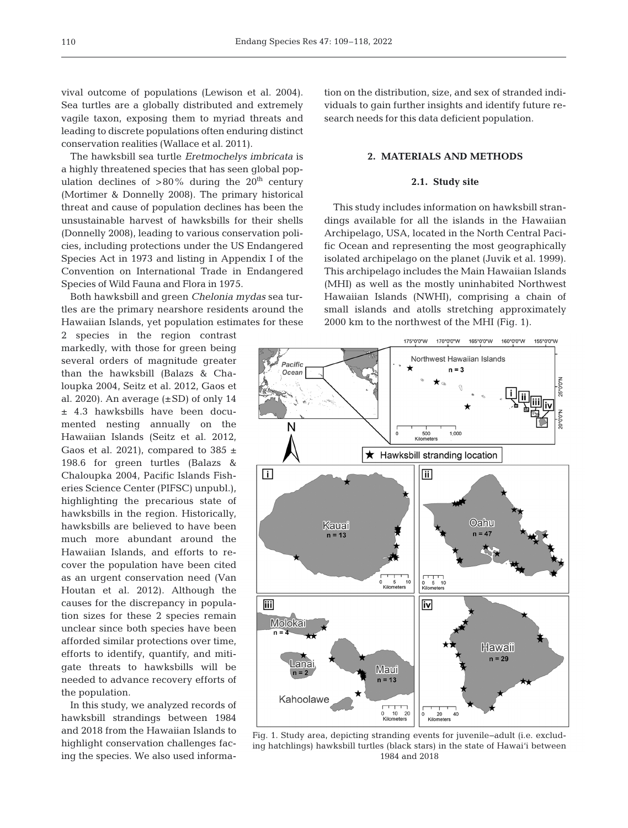vival outcome of populations (Lewison et al. 2004). Sea turtles are a globally distributed and extremely vagile taxon, exposing them to myriad threats and leading to discrete populations often enduring distinct conservation realities (Wallace et al. 2011).

The hawksbill sea turtle *Eretmochelys imbricata* is a highly threatened species that has seen global population declines of  $>80\%$  during the 20<sup>th</sup> century (Mortimer & Donnelly 2008). The primary historical threat and cause of population declines has been the unsustainable harvest of hawksbills for their shells (Donnelly 2008), leading to various conservation policies, including protections under the US Endangered Species Act in 1973 and listing in Appendix I of the Convention on International Trade in Endangered Species of Wild Fauna and Flora in 1975.

Both hawksbill and green *Chelonia mydas* sea turtles are the primary nearshore residents around the Hawaiian Islands, yet population estimates for these

2 species in the region contrast markedly, with those for green being several orders of magnitude greater than the hawksbill (Balazs & Chaloupka 2004, Seitz et al. 2012, Gaos et al. 2020). An average  $(\pm SD)$  of only 14  $±$  4.3 hawksbills have been documented nesting annually on the Hawaiian Islands (Seitz et al. 2012, Gaos et al. 2021), compared to 385  $\pm$ 198.6 for green turtles (Balazs & Chaloupka 2004, Pacific Islands Fisheries Science Center (PIFSC) unpubl.), highlighting the precarious state of hawksbills in the region. Historically, hawksbills are believed to have been much more abundant around the Hawaiian Islands, and efforts to recover the population have been cited as an urgent conservation need (Van Houtan et al. 2012). Although the causes for the discrepancy in population sizes for these 2 species remain unclear since both species have been afforded similar protections over time, efforts to identify, quantify, and mitigate threats to hawksbills will be needed to advance recovery efforts of the population.

In this study, we analyzed records of hawksbill strandings between 1984 and 2018 from the Hawaiian Islands to highlight conservation challenges facing the species. We also used information on the distribution, size, and sex of stranded individuals to gain further insights and identify future research needs for this data deficient population.

# **2. MATERIALS AND METHODS**

## **2.1. Study site**

This study includes information on hawksbill stran dings available for all the islands in the Hawaiian Archipelago, USA, located in the North Central Pacific Ocean and representing the most geographically isolated archipelago on the planet (Juvik et al. 1999). This archipelago includes the Main Hawaiian Islands (MHI) as well as the mostly uninhabited Northwest Hawaiian Islands (NWHI), comprising a chain of small islands and atolls stretching approximately 2000 km to the northwest of the MHI (Fig. 1).



Fig. 1. Study area, depicting stranding events for juvenile−adult (i.e. excluding hatchlings) hawksbill turtles (black stars) in the state of Hawai'i between 1984 and 2018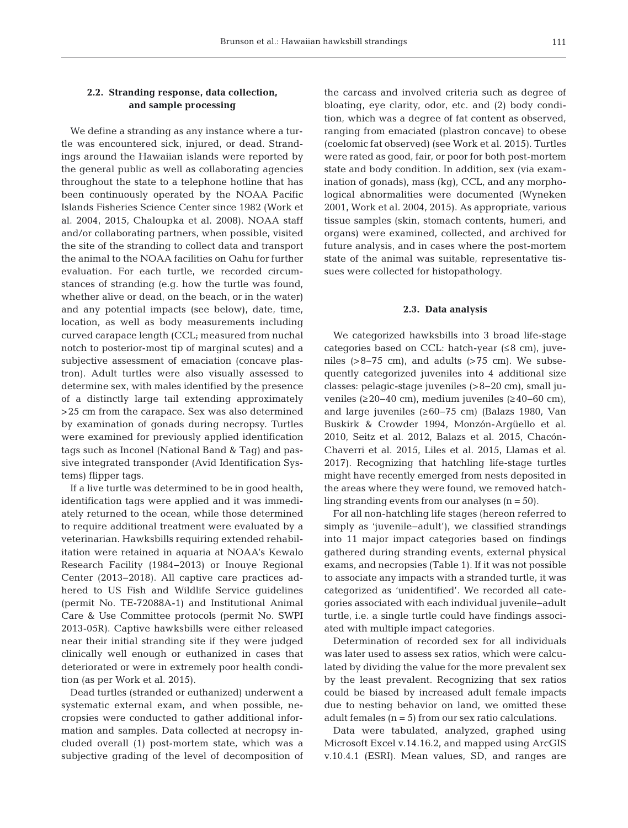# **2.2. Stranding response, data collection, and sample processing**

We define a stranding as any instance where a turtle was encountered sick, injured, or dead. Strandings around the Hawaiian islands were reported by the general public as well as collaborating agencies throughout the state to a telephone hotline that has been continuously operated by the NOAA Pacific Islands Fisheries Science Center since 1982 (Work et al. 2004, 2015, Chaloupka et al. 2008). NOAA staff and/or collaborating partners, when possible, visited the site of the stranding to collect data and transport the animal to the NOAA facilities on Oahu for further evaluation. For each turtle, we recorded circumstances of stranding (e.g. how the turtle was found, whether alive or dead, on the beach, or in the water) and any potential impacts (see below), date, time, location, as well as body measurements including curved carapace length (CCL; measured from nuchal notch to posterior-most tip of marginal scutes) and a subjective assessment of emaciation (concave plastron). Adult turtles were also visually assessed to determine sex, with males identified by the presence of a distinctly large tail extending approximately >25 cm from the carapace. Sex was also determined by examination of gonads during necropsy. Turtles were examined for previously applied identification tags such as Inconel (National Band & Tag) and passive integrated transponder (Avid Identification Systems) flipper tags.

If a live turtle was determined to be in good health, identification tags were applied and it was immediately returned to the ocean, while those determined to require additional treatment were evaluated by a veterinarian. Hawksbills requiring extended rehabilitation were retained in aquaria at NOAA's Kewalo Research Facility (1984−2013) or Inouye Regional Center (2013−2018). All captive care practices ad hered to US Fish and Wildlife Service guidelines (permit No. TE-72088A-1) and Institutional Animal Care & Use Committee protocols (permit No. SWPI 2013-05R). Captive hawksbills were either released near their initial stranding site if they were judged clinically well enough or euthanized in cases that deteriorated or were in extremely poor health condition (as per Work et al. 2015).

Dead turtles (stranded or euthanized) underwent a systematic external exam, and when possible, ne cropsies were conducted to gather additional information and samples. Data collected at necropsy in cluded overall (1) post-mortem state, which was a subjective grading of the level of decomposition of the carcass and involved criteria such as degree of bloating, eye clarity, odor, etc. and (2) body condition, which was a degree of fat content as observed, ranging from emaciated (plastron concave) to obese (coelomic fat observed) (see Work et al. 2015). Turtles were rated as good, fair, or poor for both post-mortem state and body condition. In addition, sex (via examination of gonads), mass (kg), CCL, and any morphological abnormalities were documented (Wyneken 2001, Work et al. 2004, 2015). As appropriate, various tissue samples (skin, stomach contents, humeri, and organs) were examined, collected, and archived for future analysis, and in cases where the post-mortem state of the animal was suitable, representative tissues were collected for histopathology.

#### **2.3. Data analysis**

We categorized hawksbills into 3 broad life-stage categories based on CCL: hatch-year (≤8 cm), juveniles (>8−75 cm), and adults (>75 cm). We subsequently categorized juveniles into 4 additional size classes: pelagic-stage juveniles (>8−20 cm), small juveniles (≥20−40 cm), medium juveniles (≥40−60 cm), and large juveniles (≥60−75 cm) (Balazs 1980, Van Buskirk & Crowder 1994, Monzón-Argüello et al. 2010, Seitz et al. 2012, Balazs et al. 2015, Chacón-Chaverri et al. 2015, Liles et al. 2015, Llamas et al. 2017). Recognizing that hatchling life-stage turtles might have recently emerged from nests deposited in the areas where they were found, we removed hatchling stranding events from our analyses  $(n = 50)$ .

For all non-hatchling life stages (hereon referred to simply as 'juvenile−adult'), we classified strandings into 11 major impact categories based on findings gathered during stranding events, external physical exams, and necropsies (Table 1). If it was not possible to associate any impacts with a stranded turtle, it was categorized as 'unidentified'. We recorded all categories associated with each individual juvenile−adult turtle, i.e. a single turtle could have findings associated with multiple impact categories.

Determination of recorded sex for all individuals was later used to assess sex ratios, which were calculated by dividing the value for the more prevalent sex by the least prevalent. Recognizing that sex ratios could be biased by increased adult female impacts due to nesting behavior on land, we omitted these adult females  $(n = 5)$  from our sex ratio calculations.

Data were tabulated, analyzed, graphed using Microsoft Excel v.14.16.2, and mapped using ArcGIS v.10.4.1 (ESRI). Mean values, SD, and ranges are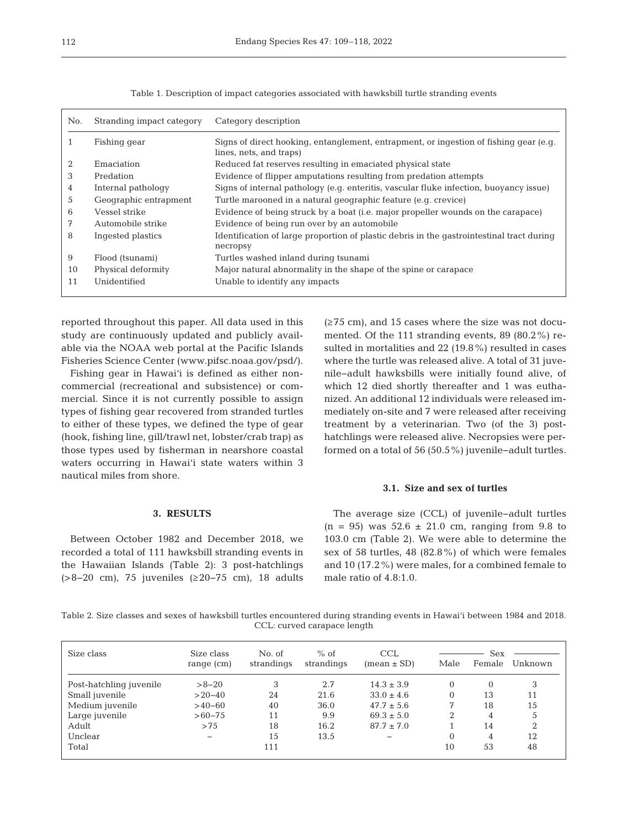| No. | Stranding impact category | Category description                                                                                             |
|-----|---------------------------|------------------------------------------------------------------------------------------------------------------|
|     | Fishing gear              | Signs of direct hooking, entanglement, entrapment, or ingestion of fishing gear (e.g.<br>lines, nets, and traps) |
|     | Emaciation                | Reduced fat reserves resulting in emaciated physical state                                                       |
| 3   | Predation                 | Evidence of flipper amputations resulting from predation attempts                                                |
| 4   | Internal pathology        | Signs of internal pathology (e.g. enteritis, vascular fluke infection, buoyancy issue)                           |
| 5   | Geographic entrapment     | Turtle marooned in a natural geographic feature (e.g. crevice)                                                   |
| 6   | Vessel strike             | Evidence of being struck by a boat (i.e. major propeller wounds on the carapace)                                 |
| 7   | Automobile strike         | Evidence of being run over by an automobile                                                                      |
| 8   | Ingested plastics         | Identification of large proportion of plastic debris in the gastrointestinal tract during<br>necropsy            |
| 9   | Flood (tsunami)           | Turtles washed inland during tsunami                                                                             |
| 10  | Physical deformity        | Major natural abnormality in the shape of the spine or carapace                                                  |
| 11  | Unidentified              | Unable to identify any impacts                                                                                   |

Table 1. Description of impact categories associated with hawksbill turtle stranding events

reported throughout this paper. All data used in this study are continuously updated and publicly available via the NOAA web portal at the Pacific Islands Fisheries Science Center (www.pifsc.noaa.gov/psd/).

Fishing gear in Hawai'i is defined as either noncommercial (recreational and subsistence) or commercial. Since it is not currently possible to assign types of fishing gear recovered from stranded turtles to either of these types, we defined the type of gear (hook, fishing line, gill/trawl net, lobster/crab trap) as those types used by fisherman in nearshore coastal waters occurring in Hawai'i state waters within 3 nautical miles from shore.

## **3. RESULTS**

Between October 1982 and December 2018, we recorded a total of 111 hawksbill stranding events in the Hawaiian Islands (Table 2): 3 post-hatchlings (>8−20 cm), 75 juveniles (≥20−75 cm), 18 adults  $(\geq 75$  cm), and 15 cases where the size was not documented. Of the 111 stranding events, 89 (80.2%) resulted in mortalities and 22 (19.8%) resulted in cases where the turtle was released alive. A total of 31 juvenile−adult hawksbills were initially found alive, of which 12 died shortly thereafter and 1 was euthanized. An additional 12 individuals were released immediately on-site and 7 were released after receiving treatment by a veterinarian. Two (of the 3) posthatchlings were released alive. Necropsies were performed on a total of 56 (50.5%) juvenile−adult turtles.

#### **3.1. Size and sex of turtles**

The average size (CCL) of juvenile−adult turtles  $(n = 95)$  was  $52.6 \pm 21.0$  cm, ranging from 9.8 to 103.0 cm (Table 2). We were able to determine the sex of 58 turtles, 48 (82.8%) of which were females and 10 (17.2%) were males, for a combined female to male ratio of 4.8:1.0.

Table 2. Size classes and sexes of hawksbill turtles encountered during stranding events in Hawai'i between 1984 and 2018. CCL: curved carapace length

| Size class              | Size class<br>range $(cm)$ | No. of<br>strandings | $%$ of<br>strandings | <b>CCL</b><br>$mean \pm SD$ | Male     | Sex<br>Female | Unknown |
|-------------------------|----------------------------|----------------------|----------------------|-----------------------------|----------|---------------|---------|
| Post-hatchling juvenile | $>8-20$                    | 3                    | 2.7                  | $14.3 \pm 3.9$              | $\Omega$ | $\Omega$      | 3       |
| Small juvenile          | $>20-40$                   | 24                   | 21.6                 | $33.0 \pm 4.6$              | $\Omega$ | 13            | 11      |
| Medium juvenile         | $>40-60$                   | 40                   | 36.0                 | $47.7 \pm 5.6$              | 7        | 18            | 15      |
| Large juvenile          | $>60-75$                   | 11                   | 9.9                  | $69.3 \pm 5.0$              | 2        | 4             | 5       |
| Adult                   | >75                        | 18                   | 16.2                 | $87.7 \pm 7.0$              |          | 14            | 2       |
| Unclear                 |                            | 15                   | 13.5                 |                             | $\Omega$ | 4             | 12      |
| Total                   |                            | 111                  |                      |                             | 10       | 53            | 48      |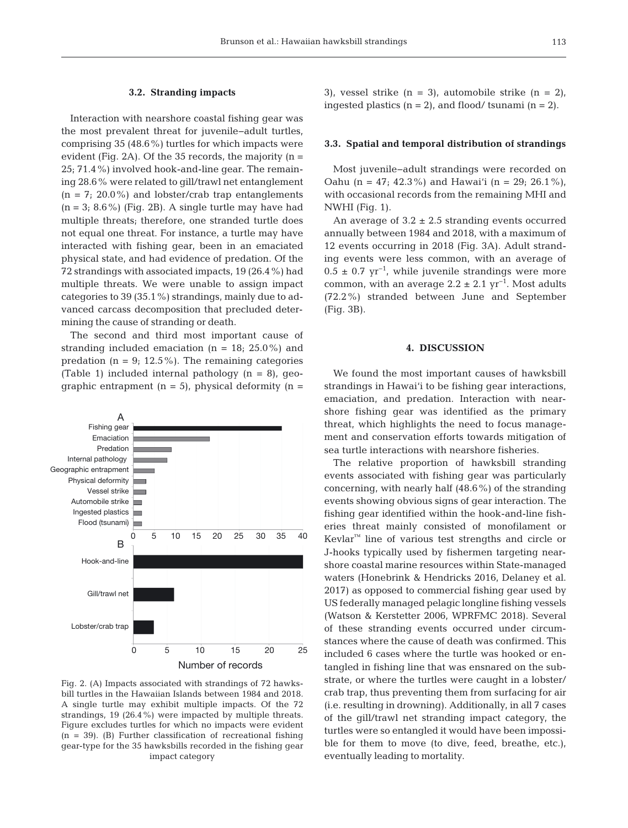## **3.2. Stranding impacts**

Interaction with nearshore coastal fishing gear was the most prevalent threat for juvenile−adult turtles, comprising 35 (48.6%) turtles for which impacts were evident (Fig. 2A). Of the 35 records, the majority  $(n =$ 25; 71.4%) involved hook-and-line gear. The remaining 28.6% were related to gill/trawl net entanglement  $(n = 7; 20.0\%)$  and lobster/crab trap entanglements  $(n = 3; 8.6\%)$  (Fig. 2B). A single turtle may have had multiple threats; therefore, one stranded turtle does not equal one threat. For instance, a turtle may have interacted with fishing gear, been in an emaciated physical state, and had evidence of predation. Of the 72 strandings with associated impacts, 19 (26.4%) had multiple threats. We were unable to assign impact categories to 39 (35.1%) strandings, mainly due to advanced carcass decomposition that precluded determining the cause of stranding or death.

The second and third most important cause of stranding included emaciation  $(n = 18; 25.0\%)$  and predation ( $n = 9$ ; 12.5%). The remaining categories (Table 1) included internal pathology  $(n = 8)$ , geographic entrapment  $(n = 5)$ , physical deformity  $(n = 1)$ 



Fig. 2. (A) Impacts associated with strandings of 72 hawksbill turtles in the Hawaiian Islands between 1984 and 2018. A single turtle may exhibit multiple impacts. Of the 72 strandings, 19 (26.4%) were impacted by multiple threats. Figure excludes turtles for which no impacts were evident  $(n = 39)$ . (B) Further classification of recreational fishing gear-type for the 35 hawksbills recorded in the fishing gear impact category

3), vessel strike  $(n = 3)$ , automobile strike  $(n = 2)$ , ingested plastics  $(n = 2)$ , and flood/ tsunami  $(n = 2)$ .

#### **3.3. Spatial and temporal distribution of strandings**

Most juvenile−adult strandings were recorded on Oahu (n = 47; 42.3%) and Hawai'i (n = 29; 26.1%), with occasional records from the remaining MHI and NWHI (Fig. 1).

An average of  $3.2 \pm 2.5$  stranding events occurred annually between 1984 and 2018, with a maximum of 12 events occurring in 2018 (Fig. 3A). Adult stranding events were less common, with an average of  $0.5 \pm 0.7$  yr<sup>-1</sup>, while juvenile strandings were more common, with an average  $2.2 \pm 2.1$  yr<sup>-1</sup>. Most adults (72.2%) stranded between June and September (Fig. 3B).

## **4. DISCUSSION**

We found the most important causes of hawksbill strandings in Hawai'i to be fishing gear interactions, emaciation, and predation. Interaction with nearshore fishing gear was identified as the primary threat, which highlights the need to focus management and conservation efforts towards mitigation of sea turtle interactions with nearshore fisheries.

The relative proportion of hawksbill stranding events associated with fishing gear was particularly concerning, with nearly half (48.6%) of the stranding events showing obvious signs of gear interaction. The fishing gear identified within the hook-and-line fisheries threat mainly consisted of monofilament or  $Kevlar<sup>m</sup>$  line of various test strengths and circle or J-hooks typically used by fishermen targeting nearshore coastal marine resources within State-managed waters (Honebrink & Hendricks 2016, Delaney et al. 2017) as opposed to commercial fishing gear used by US federally managed pelagic longline fishing vessels (Watson & Kerstetter 2006, WPRFMC 2018). Several of these stranding events occurred under circumstances where the cause of death was confirmed. This included 6 cases where the turtle was hooked or entangled in fishing line that was ensnared on the substrate, or where the turtles were caught in a lobster/ crab trap, thus preventing them from surfacing for air (i.e. resulting in drowning). Additionally, in all 7 cases of the gill/trawl net stranding impact category, the turtles were so entangled it would have been impossible for them to move (to dive, feed, breathe, etc.), eventually leading to mortality.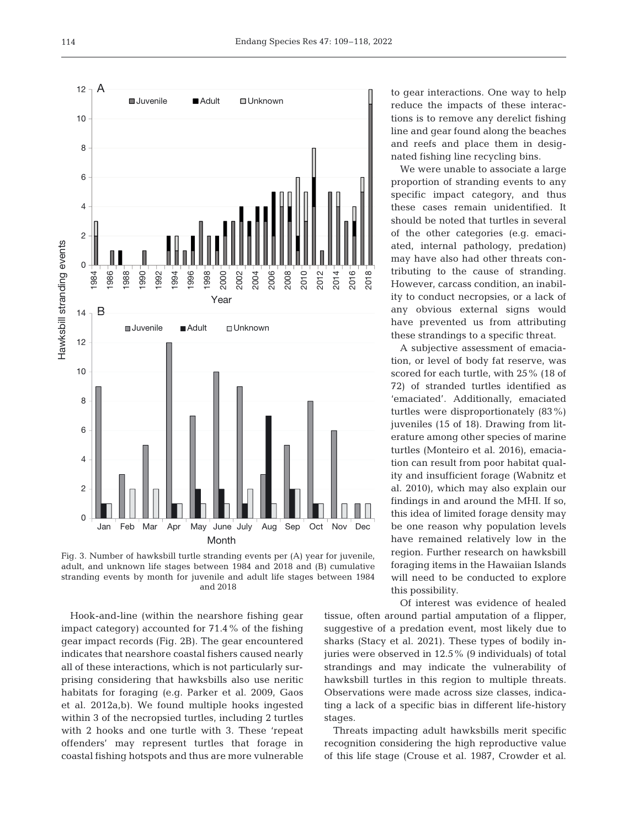

Fig. 3. Number of hawksbill turtle stranding events per (A) year for juvenile, adult, and unknown life stages between 1984 and 2018 and (B) cumulative stranding events by month for juvenile and adult life stages between 1984 and 2018

Hook-and-line (within the nearshore fishing gear impact category) accounted for 71.4% of the fishing gear impact records (Fig. 2B). The gear encountered indicates that nearshore coastal fishers caused nearly all of these interactions, which is not particularly surprising considering that hawksbills also use neritic habitats for foraging (e.g. Parker et al. 2009, Gaos et al. 2012a,b). We found multiple hooks ingested within 3 of the necropsied turtles, including 2 turtles with 2 hooks and one turtle with 3. These 'repeat offenders' may represent turtles that forage in coastal fishing hotspots and thus are more vulnerable to gear interactions. One way to help reduce the impacts of these interactions is to remove any derelict fishing line and gear found along the beaches and reefs and place them in designated fishing line recycling bins.

We were unable to associate a large proportion of stranding events to any specific impact category, and thus these cases remain unidentified. It should be noted that turtles in several of the other categories (e.g. emaciated, internal pathology, predation) may have also had other threats contributing to the cause of stranding. However, carcass condition, an inability to conduct necropsies, or a lack of any obvious external signs would have prevented us from attributing these strandings to a specific threat.

A subjective assessment of emaciation, or level of body fat reserve, was scored for each turtle, with 25% (18 of 72) of stranded turtles identified as 'emaciated'. Additionally, emaciated turtles were disproportionately  $(83\%)$ juveniles (15 of 18). Drawing from literature among other species of marine turtles (Monteiro et al. 2016), emaciation can result from poor habitat quality and insufficient forage (Wabnitz et al. 2010), which may also explain our findings in and around the MHI. If so, this idea of limited forage density may be one reason why population levels have remained relatively low in the region. Further research on hawksbill foraging items in the Hawaiian Islands will need to be conducted to explore this possibility.

Of interest was evidence of healed tissue, often around partial amputation of a flipper, suggestive of a predation event, most likely due to sharks (Stacy et al. 2021). These types of bodily injuries were observed in  $12.5\%$  (9 individuals) of total strandings and may indicate the vulnerability of hawksbill turtles in this region to multiple threats. Observations were made across size classes, indicating a lack of a specific bias in different life-history stages.

Threats impacting adult hawksbills merit specific recognition considering the high reproductive value of this life stage (Crouse et al. 1987, Crowder et al.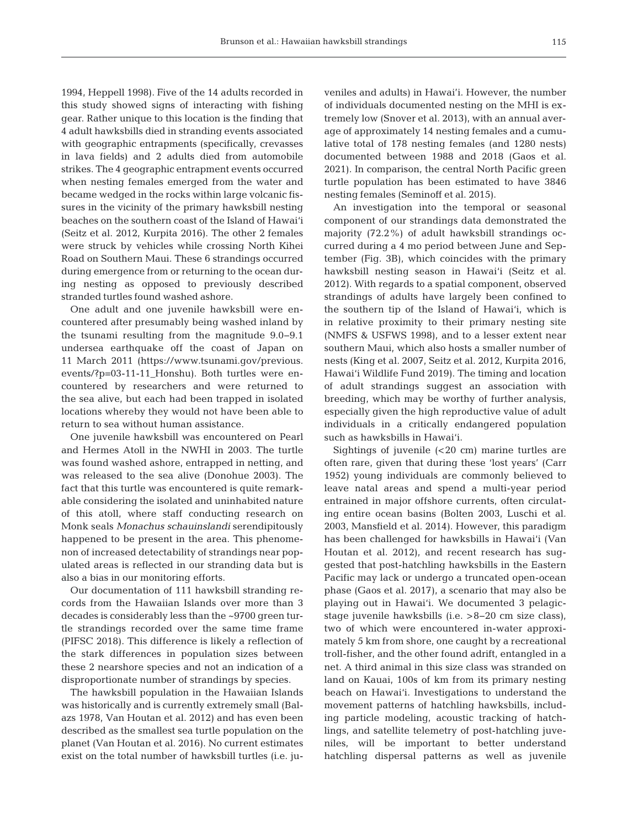1994, Heppell 1998). Five of the 14 adults recorded in this study showed signs of interacting with fishing gear. Rather unique to this location is the finding that 4 adult hawksbills died in stranding events associated with geographic entrapments (specifically, crevasses in lava fields) and 2 adults died from automobile strikes. The 4 geographic entrapment events occurred when nesting females emerged from the water and became wedged in the rocks within large volcanic fissures in the vicinity of the primary hawksbill nesting beaches on the southern coast of the Island of Hawai'i (Seitz et al. 2012, Kurpita 2016). The other 2 females were struck by vehicles while crossing North Kihei Road on Southern Maui. These 6 strandings occurred during emergence from or returning to the ocean during nesting as opposed to previously described stranded turtles found washed ashore.

One adult and one juvenile hawksbill were encountered after presumably being washed inland by the tsunami resulting from the magnitude 9.0−9.1 undersea earthquake off the coast of Japan on 11 March 2011 (https://www.tsunami.gov/previous. events/?p=03-11-11\_Honshu). Both turtles were encountered by researchers and were returned to the sea alive, but each had been trapped in isolated locations whereby they would not have been able to return to sea without human assistance.

One juvenile hawksbill was encountered on Pearl and Hermes Atoll in the NWHI in 2003. The turtle was found washed ashore, entrapped in netting, and was released to the sea alive (Donohue 2003). The fact that this turtle was encountered is quite remarkable considering the isolated and uninhabited nature of this atoll, where staff conducting research on Monk seals *Monachus schau inslandi* serendipitously happened to be present in the area. This phenomenon of increased detectability of strandings near populated areas is reflected in our stranding data but is also a bias in our monitoring efforts.

Our documentation of 111 hawksbill stranding re cords from the Hawaiian Islands over more than 3 decades is considerably less than the ~9700 green turtle strandings recorded over the same time frame (PIFSC 2018). This difference is likely a reflection of the stark differences in population sizes between these 2 nearshore species and not an indication of a disproportionate number of strandings by species.

The hawksbill population in the Hawaiian Islands was historically and is currently extremely small (Balazs 1978, Van Houtan et al. 2012) and has even been described as the smallest sea turtle population on the planet (Van Houtan et al. 2016). No current estimates exist on the total number of hawksbill turtles (i.e. juveniles and adults) in Hawai'i. However, the number of individuals docu mented nesting on the MHI is extremely low (Snover et al. 2013), with an annual average of approximately 14 nesting females and a cumulative total of 178 nesting females (and 1280 nests) documented between 1988 and 2018 (Gaos et al. 2021)*.* In comparison, the central North Pacific green turtle population has been estimated to have 3846 nesting females (Seminoff et al. 2015).

An investigation into the temporal or seasonal component of our strandings data demonstrated the majority  $(72.2\%)$  of adult hawksbill strandings occurred during a 4 mo period between June and September (Fig. 3B), which coincides with the primary hawksbill nesting season in Hawai'i (Seitz et al. 2012). With regards to a spatial component, observed strandings of adults have largely been confined to the southern tip of the Island of Hawai'i, which is in relative proximity to their primary nesting site (NMFS & USFWS 1998), and to a lesser extent near southern Maui, which also hosts a smaller number of nests (King et al. 2007, Seitz et al. 2012, Kurpita 2016, Hawai'i Wildlife Fund 2019). The timing and location of adult strandings suggest an association with breeding, which may be worthy of further analysis, especially given the high reproductive value of adult individuals in a critically endangered population such as hawksbills in Hawai'i.

Sightings of juvenile (<20 cm) marine turtles are often rare, given that during these 'lost years' (Carr 1952) young individuals are commonly believed to leave natal areas and spend a multi-year period entrained in major offshore currents, often circulating entire ocean basins (Bolten 2003, Luschi et al. 2003, Mansfield et al. 2014). However, this paradigm has been challenged for hawksbills in Hawai'i (Van Houtan et al. 2012), and recent research has suggested that post-hatchling hawksbills in the Eastern Pacific may lack or undergo a truncated open-ocean phase (Gaos et al. 2017), a scenario that may also be playing out in Hawai'i. We documented 3 pelagicstage juvenile hawksbills (i.e. >8−20 cm size class), two of which were encountered in-water approximately 5 km from shore, one caught by a recreational troll-fisher, and the other found adrift, entangled in a net. A third animal in this size class was stranded on land on Kauai, 100s of km from its primary nesting beach on Hawai'i. Investigations to understand the movement patterns of hatchling hawksbills, including particle modeling, acoustic tracking of hatchlings, and satellite telemetry of post-hatchling juveniles, will be important to better understand hatchling dispersal patterns as well as juvenile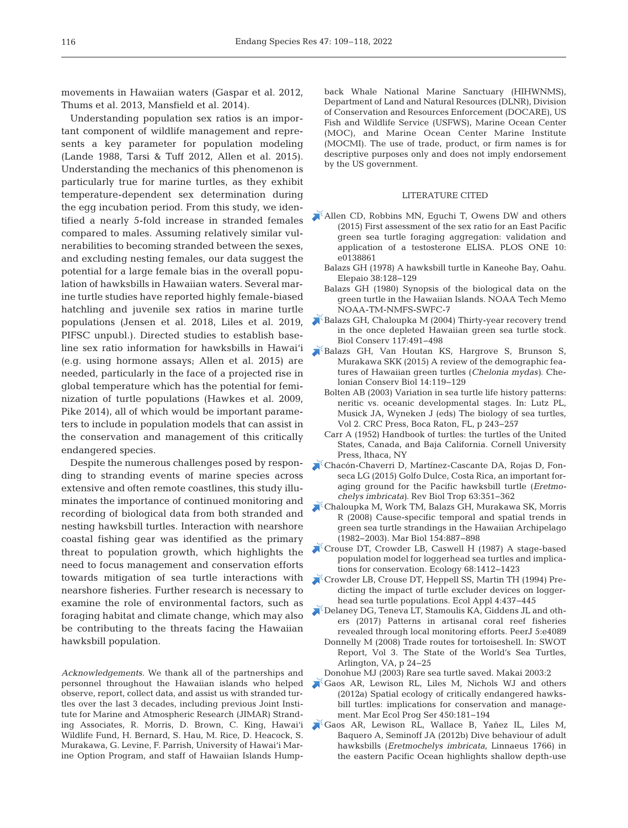movements in Hawaiian waters (Gaspar et al. 2012, Thums et al. 2013, Mansfield et al. 2014).

Understanding population sex ratios is an important component of wildlife management and represents a key parameter for population modeling (Lande 1988, Tarsi & Tuff 2012, Allen et al. 2015). Understanding the mechanics of this phenomenon is particularly true for marine turtles, as they exhibit temperature-dependent sex determination during the egg incubation period. From this study, we identified a nearly 5-fold increase in stranded females compared to males. Assuming relatively similar vulnerabilities to becoming stranded between the sexes, and excluding nesting females, our data suggest the potential for a large female bias in the overall population of hawksbills in Hawaiian waters. Several marine turtle studies have reported highly female-biased hatchling and juvenile sex ratios in marine turtle populations (Jensen et al. 2018, Liles et al. 2019, PIFSC unpubl.). Directed studies to establish baseline sex ratio information for hawksbills in Hawai'i (e.g. using hormone assays; Allen et al. 2015) are needed, particularly in the face of a projected rise in global temperature which has the potential for feminization of turtle populations (Hawkes et al. 2009, Pike 2014), all of which would be important parameters to include in population models that can assist in the conservation and management of this critically endangered species.

Despite the numerous challenges posed by responding to stranding events of marine species across extensive and often remote coastlines, this study illuminates the importance of continued monitoring and recording of biological data from both stranded and nesting hawksbill turtles. Interaction with nearshore coastal fishing gear was identified as the primary threat to population growth, which highlights the need to focus management and conservation efforts towards mitigation of sea turtle interactions with nearshore fisheries. Further research is necessary to examine the role of environmental factors, such as foraging habitat and climate change, which may also be contributing to the threats facing the Hawaiian hawksbill population.

*Acknowledgements*. We thank all of the partnerships and personnel throughout the Hawaiian islands who helped observe, report, collect data, and assist us with stranded turtles over the last 3 decades, including previous Joint Institute for Marine and Atmospheric Research (JIMAR) Stranding Associates, R. Morris, D. Brown, C. King, Hawai'i Wildlife Fund, H. Bernard, S. Hau, M. Rice, D. Heacock, S. Murakawa, G. Levine, F. Parrish, University of Hawai'i Marine Option Program, and staff of Hawaiian Islands Humpback Whale National Marine Sanctuary (HIHWNMS), Department of Land and Natural Resources (DLNR), Division of Conservation and Resources Enforcement (DOCARE), US Fish and Wildlife Service (USFWS), Marine Ocean Center (MOC), and Marine Ocean Center Marine Institute (MOCMI). The use of trade, product, or firm names is for descriptive purposes only and does not imply endorsement by the US government.

#### LITERATURE CITED

- Allen CD, Robbins MN, Eguchi T, Owens DW and others (2015) First assessment of the sex ratio for an East Pacific green sea turtle foraging aggregation: validation and application of a testosterone ELISA. PLOS ONE 10: e0138861
	- Balazs GH (1978) A hawksbill turtle in Kaneohe Bay, Oahu. Elepaio 38: 128−129
	- Balazs GH (1980) Synopsis of the biological data on the green turtle in the Hawaiian Islands. NOAA Tech Memo NOAA-TM-NMFS-SWFC-7
- [Balazs GH, Chaloupka M \(2004\) Thirty-year recovery trend](https://doi.org/10.1016/j.biocon.2003.08.008)  in the once depleted Hawaiian green sea turtle stock. Biol Conserv 117:491-498
- [Balazs GH, Van Houtan KS, Hargrove S, Brunson S,](https://doi.org/10.2744/CCB-1172.1)  Murakawa SKK (2015) A review of the demographic features of Hawaiian green turtles (*Chelonia mydas)*. Chelonian Conserv Biol 14: 119−129
	- Bolten AB (2003) Variation in sea turtle life history patterns: neritic vs. oceanic developmental stages. In: Lutz PL, Musick JA, Wyneken J (eds) The biology of sea turtles, Vol 2. CRC Press, Boca Raton, FL, p 243−257
	- Carr A (1952) Handbook of turtles: the turtles of the United States, Canada, and Baja California. Cornell University Press, Ithaca, NY
- [Chacón-Chaverri D, Martínez-Cascante DA, Rojas D, Fon](https://doi.org/10.15517/rbt.v63i1.23114)seca LG (2015) Golfo Dulce, Costa Rica, an important foraging ground for the Pacific hawksbill turtle (*Eretmo chelys imbricata)*. Rev Biol Trop 63: 351−362
- [Chaloupka M, Work TM, Balazs GH, Murakawa SK, Morris](https://doi.org/10.1007/s00227-008-0981-4)  R (2008) Cause-specific temporal and spatial trends in green sea turtle strandings in the Hawaiian Archipelago (1982−2003). Mar Biol 154: 887−898
- [Crouse DT, Crowder LB, Caswell H \(1987\) A stage-based](https://doi.org/10.2307/1939225)  population model for loggerhead sea turtles and implications for conservation. Ecology 68: 1412−1423
- [Crowder LB, Crouse DT, Heppell SS, Martin TH \(1994\) Pre](https://doi.org/10.2307/1941948)dicting the impact of turtle excluder devices on loggerhead sea turtle populations. Ecol Appl 4:437-445
- [Delaney DG, Teneva LT, Stamoulis KA, Giddens JL and oth](https://doi.org/10.7717/peerj.4089)ers (2017) Patterns in artisanal coral reef fisheries revealed through local monitoring efforts. PeerJ 5:e4089
	- Donnelly M (2008) Trade routes for tortoiseshell. In: SWOT Report, Vol 3. The State of the World's Sea Turtles, Arlington, VA, p 24−25
- Donohue MJ (2003) Rare sea turtle saved. Makai 2003:2
- [Gaos AR, Lewison RL, Liles M, Nichols WJ and others](https://doi.org/10.3354/meps09591)  (2012a) Spatial ecology of critically endangered hawksbill turtles: implications for conservation and management. Mar Ecol Prog Ser 450: 181−194
- [Gaos AR, Lewison RL, Wallace B, Yañez IL, Liles M,](https://doi.org/10.1016/j.jembe.2012.07.006)  Baquero A, Seminoff JA (2012b) Dive behaviour of adult hawksbills (*Eretmochelys imbricata*, Linnaeus 1766) in the eastern Pacific Ocean highlights shallow depth-use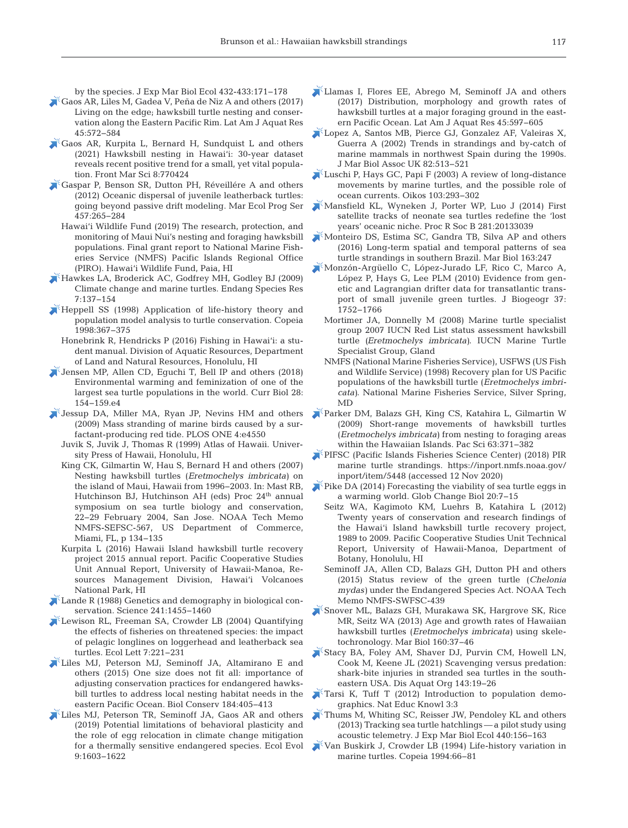by the species. J Exp Mar Biol Ecol 432-433: 171−178

- [Gaos AR, Liles M, Gadea V, Peña de Niz A and others \(2017\)](https://doi.org/10.3856/vol45-issue3-fulltext-7)  Living on the edge; hawksbill turtle nesting and conservation along the Eastern Pacific Rim. Lat Am J Aquat Res 45: 572−584
- [Gaos AR, Kurpita L, Bernard H, Sundquist L and others](https://doi.org/10.3389/fmars.2021.770424)  (2021) Hawksbill nesting in Hawai'i: 30-year dataset reveals recent positive trend for a small, yet vital population. Front Mar Sci 8:770424
- [Gaspar P, Benson SR, Dutton PH, Réveillére A and others](https://doi.org/10.3354/meps09689)  (2012) Oceanic dispersal of juvenile leatherback turtles: going beyond passive drift modeling. Mar Ecol Prog Ser 457: 265−284
	- Hawai'i Wildlife Fund (2019) The research, protection, and monitoring of Maui Nui's nesting and foraging hawksbill populations. Final grant report to National Marine Fisheries Service (NMFS) Pacific Islands Regional Office (PIRO). Hawai'i Wildlife Fund, Paia, HI
- [Hawkes LA, Broderick AC, Godfrey MH, Godley BJ \(2009\)](https://doi.org/10.3354/esr00198)  Climate change and marine turtles. Endang Species Res 7: 137−154
- $\blacktriangleright$  Heppell SS (1998) Application of life-history theory and population model analysis to turtle conservation. Copeia 1998: 367−375
- Honebrink R, Hendricks P (2016) Fishing in Hawai'i: a student manual. Division of Aquatic Resources, Department of Land and Natural Resources, Honolulu, HI
- [Jensen MP, Allen CD, Eguchi T, Bell IP and others \(2018\)](https://doi.org/10.1016/j.cub.2017.11.057)  Environmental warming and feminization of one of the largest sea turtle populations in the world. Curr Biol 28: 154−159.e4
- [Jessup DA, Miller MA, Ryan JP, Nevins HM and others](https://doi.org/10.1371/journal.pone.0004550)  (2009) Mass stranding of marine birds caused by a surfactant-producing red tide. PLOS ONE 4:e4550
	- Juvik S, Juvik J, Thomas R (1999) Atlas of Hawaii. University Press of Hawaii, Honolulu, HI
	- King CK, Gilmartin W, Hau S, Bernard H and others (2007) Nesting hawksbill turtles (*Eretmochelys imbricata)* on the island of Maui, Hawaii from 1996−2003. In: Mast RB, Hutchinson BJ, Hutchinson AH (eds) Proc 24<sup>th</sup> annual symposium on sea turtle biology and conservation, 22−29 February 2004, San Jose. NOAA Tech Memo NMFS-SEFSC-567, US Department of Commerce, Miami, FL, p 134−135
	- Kurpita L (2016) Hawaii Island hawksbill turtle recovery project 2015 annual report. Pacific Cooperative Studies Unit Annual Report, University of Hawaii-Manoa, Resources Management Division, Hawai'i Volcanoes National Park, HI
- **Lande R** (1988) Genetics and demography in biological conservation. Science 241: 1455−1460
- Lewison RL, Freeman SA, Crowder LB (2004) Quantifying the effects of fisheries on threatened species: the impact of pelagic longlines on loggerhead and leatherback sea turtles. Ecol Lett 7: 221−231
- [Liles MJ, Peterson MJ, Seminoff JA, Altamirano E and](https://doi.org/10.1016/j.biocon.2015.02.017)  others (2015) One size does not fit all: importance of adjusting conservation practices for endangered hawksbill turtles to address local nesting habitat needs in the eastern Pacific Ocean. Biol Conserv 184: 405−413
- [Liles MJ, Peterson TR, Seminoff JA, Gaos AR and others](https://doi.org/10.1002/ece3.4774)  (2019) Potential limitations of behavioral plasticity and the role of egg relocation in climate change mitigation for a thermally sensitive endangered species. Ecol Evol 9: 1603−1622
- [Llamas I, Flores EE, Abrego M, Seminoff JA and others](https://doi.org/10.3856/vol45-issue3-fulltext-9)  (2017) Distribution, morphology and growth rates of hawksbill turtles at a major foraging ground in the eastern Pacific Ocean. Lat Am J Aquat Res 45:597-605
- [Lopez A, Santos MB, Pierce GJ, Gonzalez AF, Valeiras X,](https://doi.org/10.1017/S0025315402005805)  Guerra A (2002) Trends in strandings and by-catch of marine mammals in northwest Spain during the 1990s. J Mar Biol Assoc UK 82:513-521
- [Luschi P, Hays GC, Papi F \(2003\) A review of long-distance](https://doi.org/10.1034/j.1600-0706.2003.12123.x)  movements by marine turtles, and the possible role of ocean currents. Oikos 103:293-302
- [Mansfield KL, Wyneken J, Porter WP, Luo J \(2014\) First](https://doi.org/10.1098/rspb.2013.3039)  satellite tracks of neonate sea turtles redefine the 'lost years' oceanic niche. Proc R Soc B 281:20133039
- [Monteiro DS, Estima SC, Gandra TB, Silva AP and others](https://doi.org/10.1007/s00227-016-3018-4)  (2016) Long-term spatial and temporal patterns of sea turtle strandings in southern Brazil. Mar Biol 163:247
- [Monzón-Argüello C, López-Jurado LF, Rico C, Marco A,](https://doi.org/10.1111/j.1365-2699.2010.02326.x)  López P, Hays G, Lee PLM (2010) Evidence from genetic and Lagrangian drifter data for transatlantic transport of small juvenile green turtles. J Biogeogr 37: 1752−1766
	- Mortimer JA, Donnelly M (2008) Marine turtle specialist group 2007 IUCN Red List status assessment hawksbill turtle *(Eretmochelys imbricata)*. IUCN Marine Turtle Specialist Group, Gland
	- NMFS (National Marine Fisheries Service), USFWS (US Fish and Wildlife Service) (1998) Recovery plan for US Pacific populations of the hawksbill turtle (*Eretmochelys imbricata)*. National Marine Fisheries Service, Silver Spring, MD
- [Parker DM, Balazs GH, King CS, Katahira L, Gilmartin W](https://doi.org/10.2984/049.063.0306)  (2009) Short-range movements of hawksbill turtles (*Eretmochelys imbricata)* from nesting to foraging areas within the Hawaiian Islands. Pac Sci 63:371-382
- [PIFSC \(Pacific Islands Fisheries Science Center\) \(2018\) PIR](https://inport.nmfs.noaa.gov/inport/item/5448)  marine turtle strandings. https://inport.nmfs.noaa.gov/ inport/item/5448 (accessed 12 Nov 2020)
- [Pike DA \(2014\) Forecasting the viability of sea turtle eggs in](https://doi.org/10.1111/gcb.12397)  a warming world. Glob Change Biol 20: 7−15
	- Seitz WA, Kagimoto KM, Luehrs B, Katahira L (2012) Twenty years of conservation and research findings of the Hawai'i Island hawksbill turtle recovery project, 1989 to 2009. Pacific Cooperative Studies Unit Technical Report, University of Hawaii-Manoa, Department of Botany, Honolulu, HI
	- Seminoff JA, Allen CD, Balazs GH, Dutton PH and others (2015) Status review of the green turtle (*Chelonia mydas)* under the Endangered Species Act. NOAA Tech Memo NMFS-SWFSC-439
- [Snover ML, Balazs GH, Murakawa SK, Hargrove SK, Rice](https://doi.org/10.1007/s00227-012-2058-7)  MR, Seitz WA (2013) Age and growth rates of Hawaiian hawksbill turtles (*Eretmochelys imbricata)* using skeletochronology. Mar Biol 160:37-46
- [Stacy BA, Foley AM, Shaver DJ, Purvin CM, Howell LN,](https://doi.org/10.3354/dao03552)  Cook M, Keene JL (2021) Scavenging versus predation: shark-bite injuries in stranded sea turtles in the southeastern USA. Dis Aquat Org 143: 19−26
- [Tarsi K, Tuff T \(2012\) Introduction to population demo](http://www.nature.com/scitable/knowledge/library/introduction-to-population-demographics-83032908)graphics. Nat Educ Knowl 3:3
- [Thums M, Whiting SC, Reisser JW, Pendoley KL and others](https://doi.org/10.1016/j.jembe.2012.12.006)  (2013) Tracking sea turtle hatchlings — a pilot study using acoustic telemetry. J Exp Mar Biol Ecol 440: 156−163
- [Van Buskirk J, Crowder LB \(1994\) Life-history variation in](https://doi.org/10.2307/1446672)  marine turtles. Copeia 1994:66-81